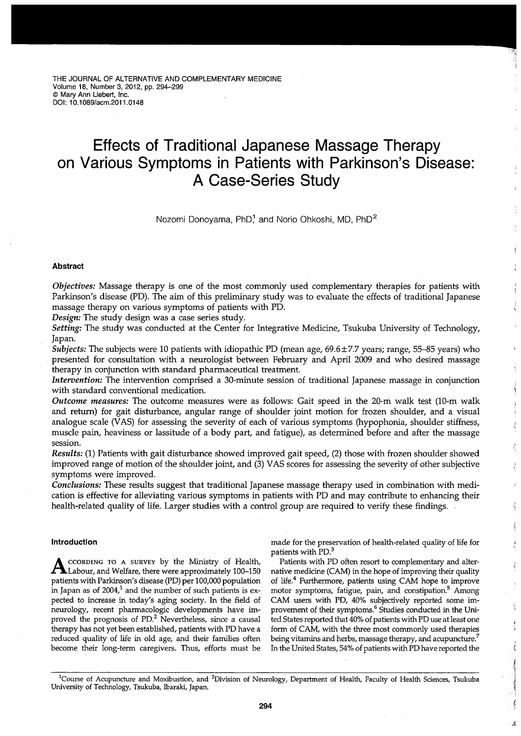THE JOURNAL OF ALTERNATIVE AND COMPLEMENTARY MEDICINE Volume 18, Number 3, 2012, pp. 294-299 © Mary Ann Liebert, Inc. DOI: 10.1089/acm.2011.0148

# **Effects of Traditional Japanese Massage Therapy on Various Symptoms in Patients with Parkinson's Disease: A Case-Series Study**

Nozomi Donoyama, PhD<sup>1</sup> and Norio Ohkoshi, MD, PhD<sup>2</sup>

# **Abstract**

*Objectives:* Massage therapy is one of the most commonly used complementary therapies for patients with Parkinson's disease (PD). The aim of this preliminary study was to evaluate the effects of traditional Japanese massage therapy on various symptoms of patients with PD.

*Design:* The study design was a case series study.

*Setting:* The study was conducted at the Center for Integrative Medicine, Tsukuba University of Technology, Japan.

*Subjects:* The subjects were 10 patients with idiopathic PD (mean age, 69.6±7.7 years; range, 55-85 years) who presented for consultation with a neurologist between February and April 2009 and who desired massage therapy in conjunction with standard pharmaceutical treatment.

*Intervention:* The intervention comprised a 30-minute session of traditional Japanese massage in conjunction with standard conventional medication.

*Outcome measures:* The outcome measures were as follows: Gait speed in the 20-m walk test (10-m walk and return) for gait disturbance, angular range of shoulder joint motion for frozen shoulder, and a visual analogue scale (VAS) for assessing the severity of each of various symptoms (hypophonia, shoulder stiffness, muscle pain, heaviness or lassitude of a body part, and fatigue), as determined before and after the massage session.

*Results:* (1) Patients with gait disturbance showed improved gait speed, (2) those with frozen shoulder showed improved range of motion of the shoulder joint, and (3) VAS scores for assessing the severity of other subjective symptoms were improved.

*Conclusions:* These results suggest that traditional Japanese massage therapy used in combination with medication is effective for alleviating various symptoms in patients with PD and may contribute to enhancing their health-related quality of life. Larger studies with a control group are required to verify these findings.

# **Introduction**

**A** CCORDING TO A SURVEY by the Ministry of Health, Labour, and Welfare, there were approximately 100-150 patients with Parkinson's disease (PD) per 100,000 population in Japan as of  $2004<sup>1</sup>$  and the number of such patients is expected to increase in today's aging society. In the field of neurology, recent pharmacologic developments have improved the prognosis of PD.<sup>2</sup> Nevertheless, since a causal therapy has not yet been established, patients with PD have a reduced quality of life in old age, and their families often become their long-term caregivers. Thus, efforts must be

made for the preservation of health-related quality of life for patients with PD.<sup>3</sup>

j  $\frac{1}{2}$ 

 $\frac{1}{1}$ Į

 $\frac{1}{3}$ 

 $\dot{\xi}$ 

 $\mathcal{E}$ 

 $\frac{1}{2}$ 

ł

Å, ÿ

 $\hat{\zeta}$ 

 $\frac{1}{2}$ 

 $\mathcal{A}$ 

Patients with PD often resort to complementary and alternative medicine (CAM) in the hope of improving their quality of life.4 Furthermore, patients using CAM hope to improve motor symptoms, fatigue, pain, and constipation.<sup>5</sup> Among CAM users with PD, 40% subjectively reported some improvement of their symptoms.<sup>6</sup> Studies conducted in the United States reported that 40% of patients with PD use at least one form of CAM, with the three most commonly used therapies being vitamins and herbs, massage therapy, and acupuncture. In the United States, 54% of patients with PD have reported the

<sup>1</sup>Course of Acupuncture and Moxibustion, and <sup>2</sup>Division of Neurology, Department of Health, Faculty of Health Sciences, Tsukuba University of Technology, Tsukuba, Ibaraki, Japan.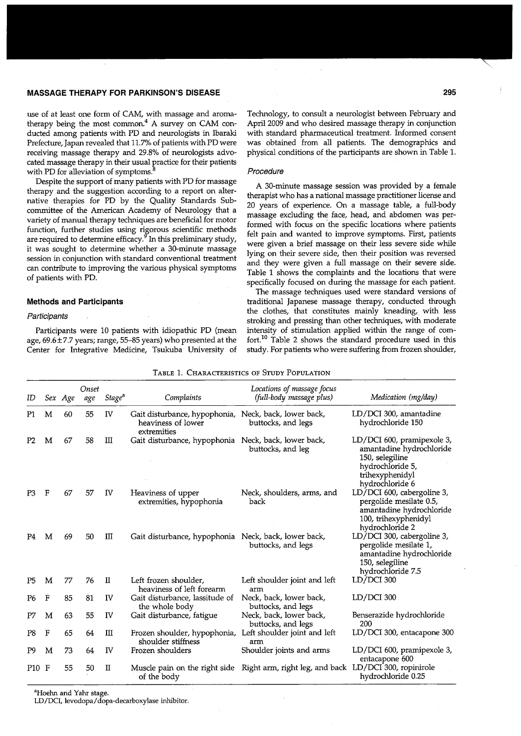## **MASSAGE THERAPY FOR PARKINSON'S DISEASE**

use of at least one form of CAM, with massage and aromatherapy being the most common. $4A$  survey on CAM conducted among patients with PD and neurologists in lbaraki Prefecture, Japan revealed that 11.7% of patients with PD were receiving massage therapy and 29.8% of neurologists advocated massage therapy in their usual practice for their patients with PD for alleviation of symptoms.

Despite the support of many patients with PD for massage therapy and the suggestion according to a report on alternative therapies for PD by the Quality Standards Subcommittee of the American Academy of Neurology that <sup>a</sup> variety of manual therapy techniques are beneficial for motor function, further studies using rigorous scientific methods are required to determine efficacy.<sup>9</sup> In this preliminary study, it was sought to determine whether a 30-minute massage session in conjunction with standard conventional treatment can contribute to improving the various physical symptoms of patients with PD.

## **Methods and Participants**

## **Participants**

Participants were 10 patients with idiopathic PD (mean age, 69.6±7.7 years; range, 55-85 years) who presented at the Center for Integrative Medicine, Tsukuba University of

Technology, to consult a neurologist between February and April 2009 and who desired massage therapy in conjunction with standard pharmaceutical treatment. Informed consent was obtained from all patients. The demographics and physical conditions of the participants are shown in Table 1.

# Procedure

A 30-minute massage session was provided by a female therapist who has a national massage practitioner license and 20 years of experience. On a massage table, a full-body massage excluding the face, head, and abdomen was performed with focus on 'the specific locations where patients felt pain and wanted to improve symptoms. First, patients were given a brief massage on their less severe side while lying on their severe side, then their position was reversed and they were given a full massage on their severe side. Table 1 shows the complaints and the locations that were specifically focused on during the massage for each patient.

The massage techniques used were standard versions of traditional Japanese massage therapy, conducted through the clothes, that constitutes mainly kneading, with less stroking and pressing than other techniques, with moderate intensity of stimulation applied within the range of comfort.10 Table 2 shows the standard procedure used in this study. For patients who were suffering from frozen shoulder,

| TABLE 1. CHARACTERISTICS OF STUDY POPULATION |
|----------------------------------------------|
|----------------------------------------------|

| ID             |             | Sex Age | Onset<br>age | Stage <sup>a</sup> | Complaints                                                                                 | Locations of massage focus<br>(full-body massage plus) | Medication (mg/day)                                                                                                                 |
|----------------|-------------|---------|--------------|--------------------|--------------------------------------------------------------------------------------------|--------------------------------------------------------|-------------------------------------------------------------------------------------------------------------------------------------|
| P <sub>1</sub> | M           | 60      | 55           | IV                 | Gait disturbance, hypophonia, Neck, back, lower back,<br>heaviness of lower<br>extremities | buttocks, and legs                                     | LD/DCI 300, amantadine<br>hydrochloride 150                                                                                         |
| P <sub>2</sub> | М           | 67      | 58           | Ш                  | Gait disturbance, hypophonia Neck, back, lower back,                                       | buttocks, and leg                                      | LD/DCI 600, pramipexole 3,<br>amantadine hydrochloride<br>150, selegiline<br>hydrochloride 5,<br>trihexyphenidyl<br>hydrochloride 6 |
| P <sub>3</sub> | F           | 67      | 57           | IV                 | Heaviness of upper<br>extremities, hypophonia                                              | Neck, shoulders, arms, and<br>back                     | LD/DCI 600, cabergoline 3,<br>pergolide mesilate 0.5,<br>amantadine hydrochloride<br>100, trihexyphenidyl<br>hydrochloride 2        |
| P4             | M           | 69      | 50           | Ш                  | Gait disturbance, hypophonia Neck, back, lower back,                                       | buttocks, and legs                                     | LD/DCI 300, cabergoline 3,<br>pergolide mesilate 1,<br>amantadine hydrochloride<br>150, selegiline<br>hydrochloride 7.5             |
| P5             | M           | 77      | 76           | п                  | Left frozen shoulder,<br>heaviness of left forearm                                         | Left shoulder joint and left<br>arm                    | LD/DCI 300                                                                                                                          |
| P6             | $\mathbf F$ | 85      | 81           | IV                 | Gait disturbance, lassitude of<br>the whole body                                           | Neck, back, lower back,<br>buttocks, and legs          | LD/DCI 300                                                                                                                          |
| P7             | M           | 63      | 55           | IV                 | Gait disturbance, fatigue                                                                  | Neck, back, lower back,<br>buttocks, and legs          | Benserazide hydrochloride<br>200                                                                                                    |
| P8             | F           | 65      | 64           | $\mathbf{I}$       | Frozen shoulder, hypophonia,<br>shoulder stiffness                                         | Left shoulder joint and left<br>arm                    | LD/DCI 300, entacapone 300                                                                                                          |
| P <sub>9</sub> | M           | 73      | 64           | IV                 | Frozen shoulders                                                                           | Shoulder joints and arms                               | LD/DCI 600, pramipexole 3,<br>entacapone 600                                                                                        |
| P10 F          |             | 55      | 50           | П                  | Muscle pain on the right side<br>of the body                                               | Right arm, right leg, and back                         | LD/DCI 300, ropinirole<br>hydrochloride 0.25                                                                                        |

<sup>a</sup>Hoehn and Yahr stage.

LD /DCI, levodopa/ dopa-decarboxylase inhibitor.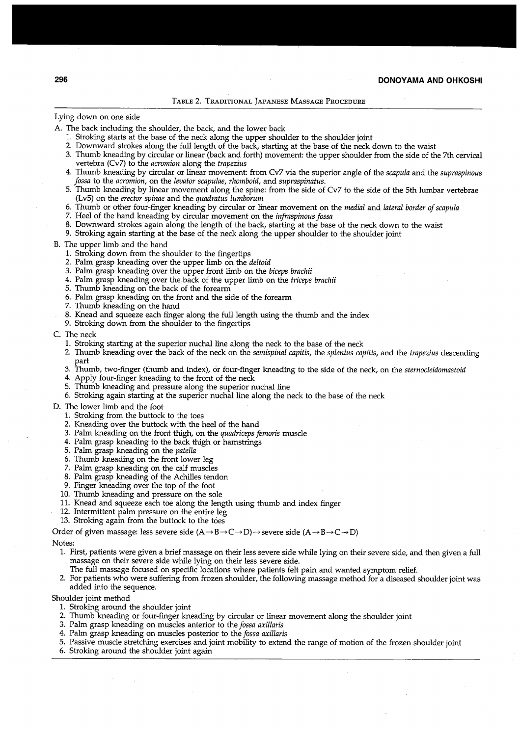# TABLE 2. TRADITIONAL JAPANESE MASSAGE PROCEDURE

Lying down on one side

- A. The back including the shoulder, the back, and the lower back
	- 1. Stroking starts at the base of the neck along the upper shoulder to the shoulder joint
	- 2. Downward strokes along the full length of the back, starting at the base of the neck down to the waist
	- 3. Thumb kneading by circular or linear (back and forth) movement: the upper shoulder from the side of the 7th cervical vertebra (Cv7) to the *acromion* along the *trapezius*
	- 4. Thumb kneading by circular or linear movement: from Cv7 via the superior angle of the *scapula* and the *supraspinous fossa* to the *acromion,* on the *levator scapulae, rhomboid,* and *supraspinatus.*
	- 5. Thumb kneading by linear movement along the spine: from the side of Cv7 to the side of the 5th lumbar vertebrae (Lv5) on the *erector spinae* and the *quadratus lumborum*
	- 6. Thumb or other four-finger kneading by circular or linear movement on the *medial* and *lateral border of scapula*
	- 7. Heel of the hand kneading by circular movement on the *infraspinous fossa*
	- 8. Downward strokes again along the length of the back, starting at the base of the neck down to the waist

9. Stroking again starting at the base of the neck along the upper shoulder to the shoulder joint

#### B. The upper limb and the hand

- 1. Stroking down from the shoulder to the fingertips
- 2. Palm grasp kneading over the upper limb on the *deltoid*
- 3. Palm grasp kneading over the upper front limb on the *biceps brachii*
- 4. Palm grasp kneading over the. back of the upper limb on the *triceps brachii*
- 5. Thumb kneading on the back of the forearm
- 6. Palm grasp kneading on the front and the side of the forearm
- 7. Thumb kneading on the hand
- 8. Knead and squeeze each finger along the full length using the thumb and the index
- 9. Stroking down from the shoulder to the fingertips
- C. The neck
	- 1. Stroking starting at the superior nuchal line along the neck to the base of the neck
	- 2. Thumb kneading over the back of the neck on the *semispinal capitis,* the *splenius capitis,* and the *trapezius* descending part
	- 3. Thumb, two-finger (thumb and index}, or four-finger kneading to the side of the neck, on the *sternocleidomastoid*
	- 4. Apply four-finger kneading to the front of the neck
	- 5. Thumb kneading and pressure along the superior nuchal line
	- 6. Stroking again starting at the superior nuchal line along the neck to the base of the neck
- D. The lower limb and the foot
	- 1. Stroking from the buttock to the toes
	- 2. Kneading over the buttock with the heel of the hand
	- 3. Palm kneading on the front thigh, on the *quadriceps femoris* muscle
	- Palm grasp kneading to the back thigh or hamstrings
	- 5. Palm grasp kneading on the *patella*
	- 6. Thumb kneading on the front lower leg
	- 7. Palm grasp kneading on the calf muscles
	- 8. Palm grasp kneading of the Achilles tendon
	- Finger kneading over the top of the foot
	- 10. Thumb kneading and pressure on the sole
	- 11. Knead and squeeze each toe along the length using thumb and index finger
	- 12. Intermittent palm pressure on the entire leg
	- 13. Stroking again from the buttock to the toes

Order of given massage: less severe side  $(A \rightarrow B \rightarrow C \rightarrow D) \rightarrow$  severe side  $(A \rightarrow B \rightarrow C \rightarrow D)$ 

Notes:

- 1. First, patients were given a brief massage on their less severe side while lying on their severe side, and then given a full massage on their severe side while lying on their less severe side.
- The full massage focused on specific locations where patients felt pain and wanted symptom relief.
- 2. For patients who were suffering from frozen shoulder, the following massage method for a diseased shoulder joint was added into the sequence.

# Shoulder joint method

- 1. Stroking around the shoulder joint
- 2. Thumb kneading or four-finger kneading by circular or linear movement along the shoulder joint
- 3. Palm grasp kneading on muscles anterior to the *fossa axillaris*
- 4. Palm grasp kneading on muscles posterior to the *fossa axillaris*
- 5. Passive muscle stretching exercises and joint mobility to extend the range of motion of the frozen shoulder joint
- 6. Stroking around the shoulder joint again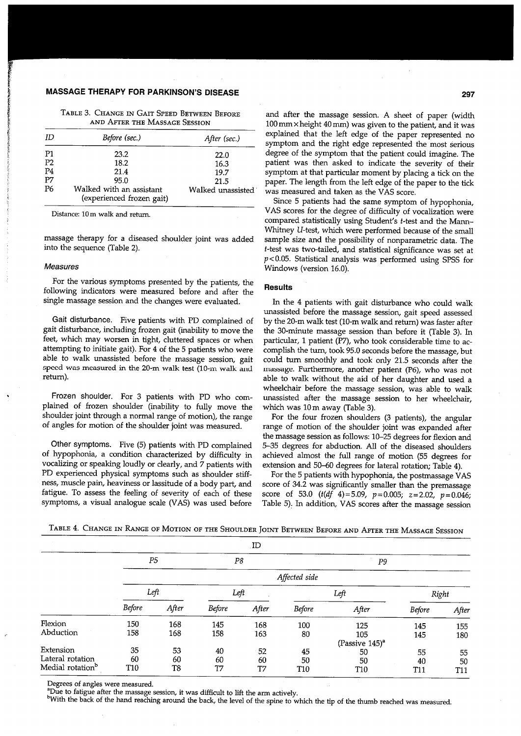# **MASSAGE THERAPY FOR PARKINSON'S DISEASE**

TABLE 3. CHANGE IN GAIT SPEED BETWEEN BEFORE AND AFTER THE MASSAGE SESSION

| ID             | Before (sec.)                                         | After (sec.)      |
|----------------|-------------------------------------------------------|-------------------|
| P1             | 23.2                                                  | 22.0              |
| P <sub>2</sub> | 18.2                                                  | 16.3              |
| P4             | 21.4                                                  | 19.7              |
| P7             | 95.0                                                  | 21.5              |
| P <sub>6</sub> | Walked with an assistant<br>(experienced frozen gait) | Walked unassisted |

Distance: 10 m walk and return.

massage therapy for a diseased shoulder joint was added into the sequence (Table 2).

# **Measures**

For the various symptoms presented by the patients, the following indicators were measured before and after the single massage session and the changes were evaluated.

Gait disturbance. Five patients with PD complained of gait disturbance, including frozen gait (inability to move the feet, which may worsen in tight, cluttered spaces or when attempting to initiate gait). For 4 of the 5 patients who were able to walk unassisted before the massage session, gait speed was measured in the 20-m walk test (10-m walk and return).

Frozen shoulder. For 3 patients with PD who com<sup>p</sup>lained of frozen shoulder (inability to fully move the shoulder joint through a normal range of motion), the range of angles for motion of the shoulder joint was measured.

Other symptoms. Five (5) patients with PD complained of hypophonia, a condition characterized by difficulty in vocalizing or speaking loudly or clearly, and 7 patients with PD experienced physical symptoms such as shoulder stiffness, muscle pain, heaviness or lassitude of a body part, and fatigue. To assess the feeling of severity of each of these symptoms, a visual analogue scale (VAS) was used before

and after the massage session. A sheet of paper (width <sup>100</sup>mm x height 40 mm) was given to the patient, and it was explained that the left edge of the paper represented no symptom and the right edge represented the most serious degree of the symptom that the patient could imagine. The patient was then asked to indicate the severity of their symptom at that particular moment by placing a tick on the paper. The length from the left edge of the paper to the tick was measured and taken as the VAS score.

Since 5 patients had the same symptom of hypophonia, VAS scores for the degree of difficulty of vocalization were compared statistically using Student's t-test and the Mann-Whitney U-test, which were performed because of the small sample size and the possibility of nonparametric data. The t-test was two-tailed, and statistical significance was set at *<sup>p</sup>*<sup>&</sup>lt;0.05. Statistical analysis was performed using SPSS for Windows (version 16.0).

# **Results**

In the 4 patients with gait disturbance who could walk unassisted before the massage session, gait speed assessed by the 20-m walk test (10-m walk and return) was faster after the 30-minute massage session than before it (Table 3). In particular, 1 patient (P7), who took considerable time to accomplish the turn, took 95.0 seconds before the massage, but could turn smoothly and took only 21.5 seconds after the massage. Furthermore, another patient (P6), who was not able to walk without the aid of her daughter and used a wheelchair before the massage session, was able to walk unassisted after the massage session to her wheelchair, which was 10 m away (Table 3).

For the four frozen shoulders (3 patients), the angular range of motion of the shoulder joint was expanded after the massage session as follows: 10-25 degrees for flexion and 5-35 degrees for abduction. All of the diseased shoulders achieved almost the full range of motion (55 degrees for extension and 50-60 degrees for lateral rotation; Table 4).

For the 5 patients with hypophonia, the postmassage VAS score of 34.2 was significantly smaller than the premassage score of 53.0 *(t(df* 4)=5.09, *p=0.005;* z=2.02, *p=0.046;*  Table 5): In addition, VAS scores after the massage session

TABLE 4. CHANGE IN RANGE OF MOTION OF THE SHOULDER JOINT BETWEEN BEFORE AND AFTER THE MASSAGE SESSION

|                                                               |                 |                |                | .ID            |                        |                                                  |                 |                 |
|---------------------------------------------------------------|-----------------|----------------|----------------|----------------|------------------------|--------------------------------------------------|-----------------|-----------------|
|                                                               | P <sub>5</sub>  |                | P8             |                |                        | P9                                               |                 |                 |
|                                                               |                 |                |                |                | Affected side          |                                                  |                 |                 |
|                                                               | Left            |                | Left           |                |                        | Left                                             | Right           |                 |
|                                                               | <b>Before</b>   | After          | <b>Before</b>  | After          | <b>Before</b>          | After                                            | <b>Before</b>   | After           |
| Flexion<br>Abduction                                          | 150<br>158      | 168<br>168     | 145<br>158     | 168<br>163     | 100<br>80              | 125<br>105                                       | 145<br>145      | 155<br>180      |
| Extension<br>Lateral rotation<br>Medial rotation <sup>b</sup> | 35<br>60<br>T10 | 53<br>60<br>T8 | 40<br>60<br>T7 | 52<br>60<br>T7 | 45<br>50<br><b>T10</b> | (Passive $145$ ) <sup>a</sup><br>50<br>50<br>T10 | 55<br>40<br>T11 | 55<br>50<br>T11 |

Degrees of angles were measured.<br><sup>a</sup>Due to fatigue after the massage session, it was difficult to lift the arm actively.

but to fatigue after the massage session, it was different to lift the arm actively.  $\frac{1}{2}$  by the thumb reached was measured.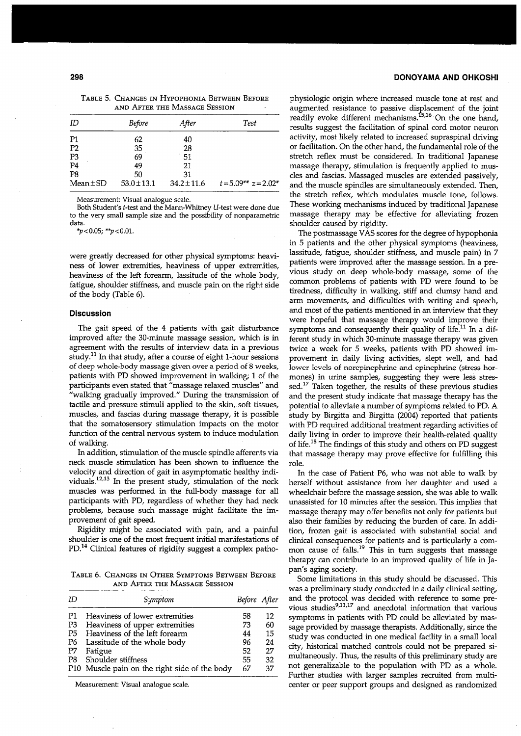|  | Table 5. Changes in Hypophonia Between Before |  |  |
|--|-----------------------------------------------|--|--|
|  | AND AFTER THE MASSAGE SESSION                 |  |  |

| ID             | Before          | After           | Test                   |
|----------------|-----------------|-----------------|------------------------|
| P1             | 62              | 40              |                        |
| P <sub>2</sub> | 35              | 28              |                        |
| P <sub>3</sub> | 69              | 51              |                        |
| P <sub>4</sub> | 49              | 21              |                        |
| P8             | 50              | 31              |                        |
| $Mean \pm SD$  | $53.0 \pm 13.1$ | $34.2 \pm 11.6$ | $t = 5.09** z = 2.02*$ |

Measurement: Visual analogue scale.

Both Student's t-test and the Mann-Whitney U-test were done due to the very small sample size and the possibility of nonparametric data.

 $*_p$ <0.05;  $*_p$ <0.01.

were greatly decreased for other physical symptoms: heaviness of lower extremities, heaviness of upper extremities, heaviness of the left forearm, lassitude of the whole body, fatigue, shoulder stiffness, and muscle pain on the right side of the body (Table 6).

## **Discussion**

The gait speed of the 4 patients with gait disturbance improved after the 30-minute massage session, which is in agreement with the results of interview data in a previous study.11 In that study, after a course of eight 1-hour sessions of deep whole-body massage given over a period of 8 weeks, patients with PD showed improvement in walking; 1 of the participants even stated that "massage relaxed muscles" and "walking gradually improved." During the transmission of tactile and pressure stimuli applied to the skin, soft tissues, muscles, and fascias during massage therapy, it is possible that the somatosensory stimulation impacts on the motor function of the central nervous system to induce modulation of walking.

In addition, stimulation of the muscle spindle afferents via neck muscle stimulation has been shown to influence the velocity and direction of gait in asymptomatic healthy individuals.<sup>12,13</sup> In the present study, stimulation of the neck muscles was performed in the full-body massage for all participants with PD, regardless of whether they had neck problems, because such massage might facilitate the improvement of gait speed.

Rigidity might be associated with pain, and a painful shoulder is one of the most frequent initial manifestations of PD.<sup>14</sup> Clinical features of rigidity suggest a complex patho-

TABLE 6. CHANGES IN OTHER SYMPTOMS BETWEEN BEFORE AND AFTER THE MASSAGE SESSION

| ID             | Symptom                                       | Before After |    |
|----------------|-----------------------------------------------|--------------|----|
| P1             | Heaviness of lower extremities                | 58           | 12 |
| P3             | Heaviness of upper extremities                | 73           | 60 |
| P <sub>5</sub> | Heaviness of the left forearm                 | 44           | 15 |
| P6             | Lassitude of the whole body                   | 96           | 24 |
| P7             | Fatigue                                       | 52           | 27 |
| P8             | Shoulder stiffness                            | 55           | 32 |
|                | P10 Muscle pain on the right side of the body | 67           | 37 |

Measurement: Visual analogue scale.

# **DONOYAMA AND OHKOSHI**

physiologic origin where increased muscle tone at rest and augmented resistance to passive displacement of the joint<br>readily evoke different mechanisms. <sup>15,16</sup> On the one hand, results suggest the facilitation of spinal cord motor neuron activity, most likely related to increased supraspinal driving or facilitation. On the other hand, the fundamental role of the stretch reflex must be considered. In traditional Japanese massage therapy, stimulation is frequently applied to muscles and fascias. Massaged muscles are extended passively, and the muscle spindles are simultaneously extended. Then, the stretch reflex, which modulates muscle tone, follows. These working mechanisms induced by traditional Japanese massage therapy may be effective for alleviating frozen shoulder caused by rigidity.

The postmassage VAS scores for the degree of hypophonia in 5 patients and the other physical symptoms (heaviness, lassitude, fatigue, shoulder stiffness, and muscle pain) in 7 patients were improved after the massage session. In a previous study on deep whole-body massage, some of the common problems of patients with PD were found to be tiredness, difficulty in walking, stiff and clumsy hand and arm movements, and difficulties with writing and speech, and most of the patients mentioned in an interview that they were hopeful that massage therapy would improve their symptoms and consequently their quality of life.<sup>11</sup> In a different study in which 30-minute massage therapy was given twice a week for 5 weeks, patients with PD showed improvement in daily living activities, slept well, and had lower levels of norepinephrine and epinephrine (stress hormones) in urine samples, suggesting they were less stressed.17 Taken together, the results of these previous studies and the present study indicate that massage therapy has the potential to alleviate a number of symptoms related to PD. A study by Birgitta and Birgitta (2004) reported that patients with PD required additional treatment regarding activities of daily living in order to improve their health-related quality of life.<sup>18</sup> The findings of this study and others on PD suggest that massage therapy may prove effective for fulfilling this role.

In the case of Patient P6, who was not able to walk by herself without assistance from her daughter and used a wheelchair before the massage session, she was able to walk unassisted for 10 minutes after the session. This implies that massage therapy may offer benefits not only for patients but also their families by reducing the burden of care. In addition, frozen gait is associated with substantial social and clinical consequences for patients and is particularly a com-<br>mon cause of falls.<sup>19</sup> This in turn suggests that massage therapy can contribute to an improved quality of life in Japan's aging society.

Some limitations in this study should be discussed. This was a preliminary study conducted in a daily clinical setting, and the protocol was decided with reference to some pre-<br>vious studies<sup>9,11,17</sup> and anecdotal information that various symptoms in patients with PD could be alleviated by massage provided by massage therapists. Additionally, since the study was conducted in one medical facility in a small local city, historical matched controls could not be prepared simultaneously. Thus, the results of this preliminary study are not generalizable to the population with PD as a whole. Further studies with larger samples recruited from multicenter or peer support groups and designed as randomized